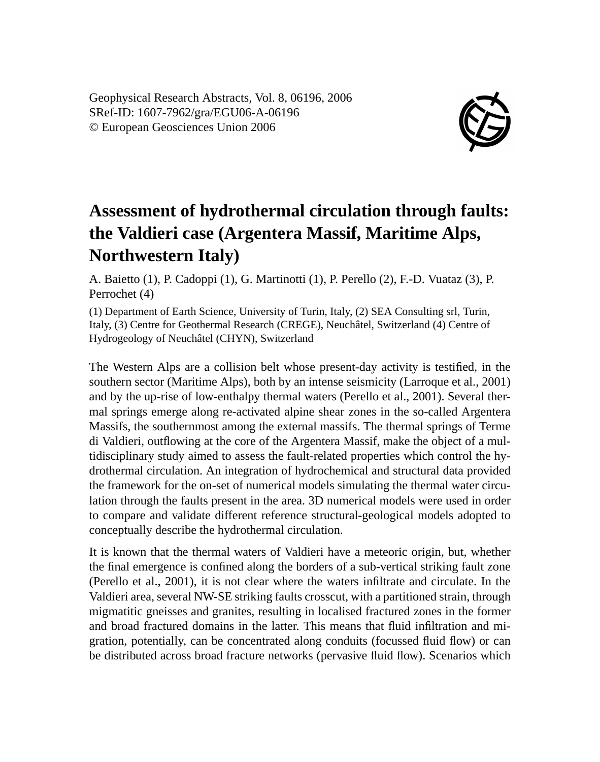Geophysical Research Abstracts, Vol. 8, 06196, 2006 SRef-ID: 1607-7962/gra/EGU06-A-06196 © European Geosciences Union 2006



## **Assessment of hydrothermal circulation through faults: the Valdieri case (Argentera Massif, Maritime Alps, Northwestern Italy)**

A. Baietto (1), P. Cadoppi (1), G. Martinotti (1), P. Perello (2), F.-D. Vuataz (3), P. Perrochet (4)

(1) Department of Earth Science, University of Turin, Italy, (2) SEA Consulting srl, Turin, Italy, (3) Centre for Geothermal Research (CREGE), Neuchâtel, Switzerland (4) Centre of Hydrogeology of Neuchâtel (CHYN), Switzerland

The Western Alps are a collision belt whose present-day activity is testified, in the southern sector (Maritime Alps), both by an intense seismicity (Larroque et al., 2001) and by the up-rise of low-enthalpy thermal waters (Perello et al., 2001). Several thermal springs emerge along re-activated alpine shear zones in the so-called Argentera Massifs, the southernmost among the external massifs. The thermal springs of Terme di Valdieri, outflowing at the core of the Argentera Massif, make the object of a multidisciplinary study aimed to assess the fault-related properties which control the hydrothermal circulation. An integration of hydrochemical and structural data provided the framework for the on-set of numerical models simulating the thermal water circulation through the faults present in the area. 3D numerical models were used in order to compare and validate different reference structural-geological models adopted to conceptually describe the hydrothermal circulation.

It is known that the thermal waters of Valdieri have a meteoric origin, but, whether the final emergence is confined along the borders of a sub-vertical striking fault zone (Perello et al., 2001), it is not clear where the waters infiltrate and circulate. In the Valdieri area, several NW-SE striking faults crosscut, with a partitioned strain, through migmatitic gneisses and granites, resulting in localised fractured zones in the former and broad fractured domains in the latter. This means that fluid infiltration and migration, potentially, can be concentrated along conduits (focussed fluid flow) or can be distributed across broad fracture networks (pervasive fluid flow). Scenarios which